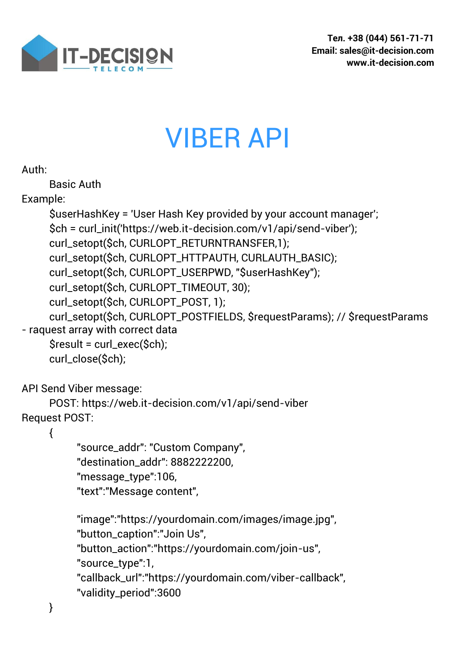

## VIBER API

```
Auth:
```
Basic Auth

Example:

```
$userHashKey = 'User Hash Key provided by your account manager';
     $ch = curl_init('https://web.it-decision.com/v1/api/send-viber');
     curl_setopt($ch, CURLOPT_RETURNTRANSFER,1);
     curl_setopt($ch, CURLOPT_HTTPAUTH, CURLAUTH_BASIC);
     curl_setopt($ch, CURLOPT_USERPWD, "$userHashKey");
     curl_setopt($ch, CURLOPT_TIMEOUT, 30);
     curl_setopt($ch, CURLOPT_POST, 1);
     curl_setopt($ch, CURLOPT_POSTFIELDS, $requestParams); // $requestParams 
- raquest array with correct data
     $result = curl_exec($ch);
     curl_close($ch);
API Send Viber message:
     POST: https://web.it-decision.com/v1/api/send-viber
Request POST:
     {
           "source_addr": "Custom Company", 
           "destination_addr": 8882222200,
           "message_type":106, 
          "text":"Message content", 
           "image":"https://yourdomain.com/images/image.jpg", 
          "button_caption":"Join Us", 
           "button_action":"https://yourdomain.com/join-us", 
           "source_type":1, 
          "callback_url":"https://yourdomain.com/viber-callback",
```

```
"validity_period":3600
```
}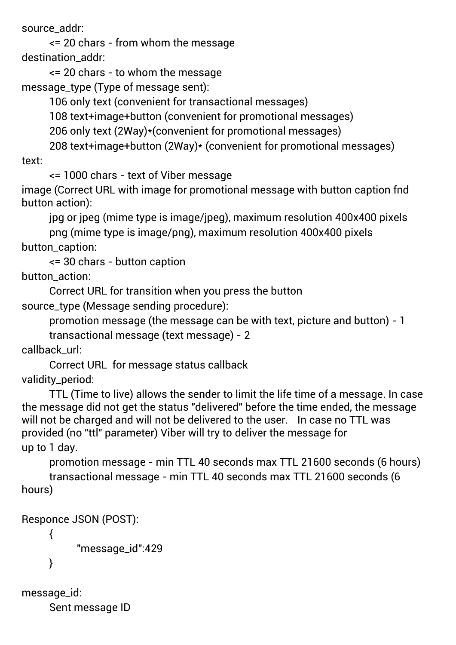source\_addr:

<= 20 chars - from whom the message destination\_addr:

<= 20 chars - to whom the message message\_type (Type of message sent):

106 only text (convenient for transactional messages)

108 text+image+button (convenient for promotional messages)

206 only text (2Way)\*(convenient for promotional messages)

208 text+image+button (2Way)\* (convenient for promotional messages) text:

<= 1000 chars - text of Viber message

image (Correct URL with image for promotional message with button caption fnd button action):

jpg or jpeg (mime type is image/jpeg), maximum resolution 400x400 pixels png (mime type is image/png), maximum resolution 400x400 pixels button\_caption:

<= 30 chars - button caption

button action:

Correct URL for transition when you press the button source\_type (Message sending procedure):

promotion message (the message can be with text, picture and button) - 1

transactional message (text message) - 2

callback\_url:

Correct URL for message status callback validity\_period:

TTL (Time to live) allows the sender to limit the life time of a message. In case the message did not get the status "delivered" before the time ended, the message will not be charged and will not be delivered to the user. In case no TTL was provided (no "ttl" parameter) Viber will try to deliver the message for up to 1 day.

promotion message - min TTL 40 seconds max TTL 21600 seconds (6 hours) transactional message - min TTL 40 seconds max TTL 21600 seconds (6 hours)

```
Responce JSON (POST):
     {
          "message_id":429
     }
```

```
message_id:
     Sent message ID
```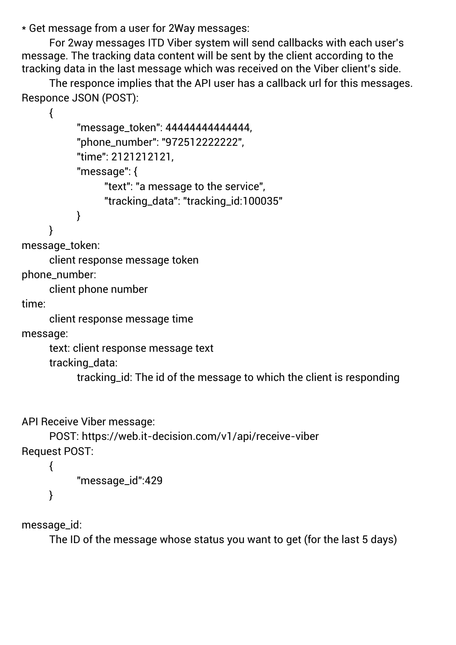\* Get message from a user for 2Way messages:

For 2way messages ITD Viber system will send callbacks with each user's message. The tracking data content will be sent by the client according to the tracking data in the last message which was received on the Viber client's side.

The responce implies that the API user has a callback url for this messages. Responce JSON (POST):

```
{
           "message_token": 44444444444444,
           "phone_number": "972512222222",
           "time": 2121212121.
           "message": {
                "text": "a message to the service",
                "tracking_data": "tracking_id:100035"
           }
     }
message_token:
```
client response message token phone\_number:

client phone number

time:

client response message time

message:

text: client response message text tracking\_data:

tracking\_id: The id of the message to which the client is responding

API Receive Viber message:

```
POST: https://web.it-decision.com/v1/api/receive-viber
Request POST:
```

```
"message_id":429
```
message\_id:

{

}

The ID of the message whose status you want to get (for the last 5 days)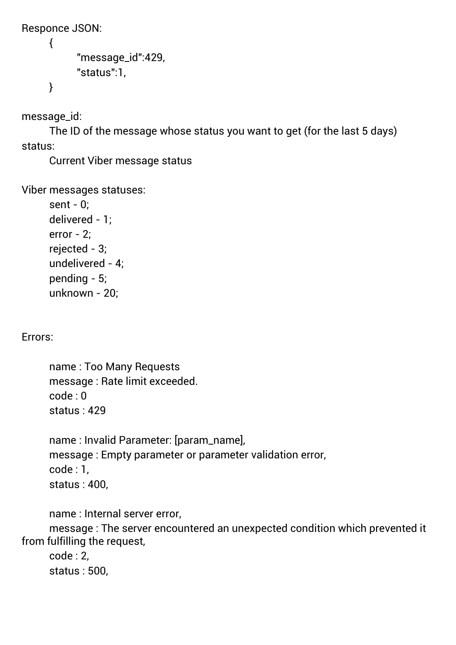```
Responce JSON:
     {
           "message_id":429, 
           "status":1, 
     }
```
message\_id:

The ID of the message whose status you want to get (for the last 5 days) status:

Current Viber message status

Viber messages statuses:

sent - 0; delivered - 1; error - 2; rejected - 3; undelivered - 4; pending - 5; unknown - 20;

Errors:

name : Too Many Requests message : Rate limit exceeded. code : 0 status : 429

name : Invalid Parameter: [param\_name], message : Empty parameter or parameter validation error, code : 1, status : 400,

name : Internal server error,

message : The server encountered an unexpected condition which prevented it from fulfilling the request,

code : 2, status : 500,